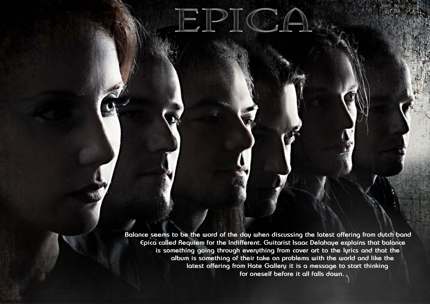**Balance seems to be the word of the day when discussing the latest offering from dutch band Epica called Requiem for the Indifferent. Guitarist Isaac Delahaye explains that balance is something going through everything from cover art to the lyrics and that the album is something of their take on problems with the world and like the latest offering from Hate Gallery it is a message to start thinking for oneself before it all falls down.**

JEJPIICA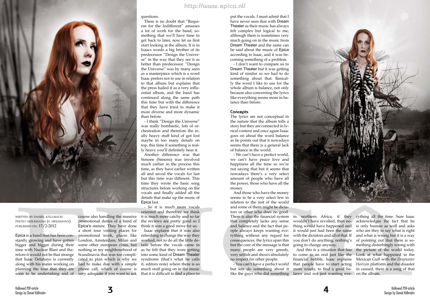

written by daniel källmalm photo: heilemania (s. heilemann) published on: 17/2-2012

Epica is a band that has been constantly growing and have gotten bigger and bigger during their time with Nuclear Blast and therefore it would not be that strange that Isaac Delahaye is currently along with his mates working on

soon to be undertaking and of very adequate if you want to ask that it is difficult to find a place to course also handling the massive promotional duties of a band of Epica's stature. They have done a short tour visiting places for promotional work, places like London, Amsterdam, Milan and some other european cities, but nothing in my neighbourhood of Scandinavia that was too complicated to plan which is why we

questions.

planning the tour that they are phone call, which of course is much stuff going on in the music had to make due with a simple it, editors note) where there is so it is much more catchy and so far the reviews are pretty good so I think it was a good move for us. Isaac explains that it was also refreshing to change the way they worked, not to do all the little details before the vocals came in as he felt that they were getting into some kind of Dream Theater syndrome (that's what he calls Epica last. - So it is much more vocals oriented and therefore we think

There is no doubt that "Requiem for the Indifferent" amasses a lot of work for the band, something that we'll have time to get back to later, now let us first start looking at the album. It is in Isaacs words a big brother of its predecessor "Design the Universe" in the way that they see it as better than predecessor. "Design the Universe" was by many seen as a masterpiece which is a word Isaac prefers not to use in relation to that album but explains that the press hailed it as a very influential album, and the band has continued along the same path this time but with the difference that they have tried to make it more diverse and more dynamic

than before.

- I think "Design the Universe" was really bombastic, lots of orchestration and therefore the really heavy stuff kind of got lost maybe in too many details on top, this time if something is really heavy you'll definitely hear it. Another difference was that Simone (Simons) was involved much earlier in the process this time, as they have earlier written all and saved the vocals for last but this time was different. This time they wrote the basic song structures before working on the vocals and finally added all the details that make up the music of

> like the guys who did something lance and not just wanting eve- on the album. And this is a situation that has more wisely, to find a good ba-

- You can't have a perfect world but lets do something about it

put the vocals. I must admit that I have never seen that with Dream Theater as their music has always felt complex but logical to me, although there is sometimes very much going on in the music from Dream Theater and the same can be said about the music of Epica according to Isaac, and it was becoming something of a problem.

There is also the financial system in northern Africa, if they rything all the time. Sure Isaac that completely lacks any sense and balance and the fact that people always keeps wanting everything without any regard for consequences, the lyrics span this but the core of the message is that many people are very greedy, very selfish and shows absolutely to come to an end just like the Look at what happened in the no respect for other people. And those who have the money seems to be a very select few in relation to the rest of the world and some of them might be dictators or other who does no good.

- I don't want to compare us to Dream Theater but it was getting kind of similar so we had to do something about that. Basically the word I like to use for the whole album is balance, not only because also concerning the lyrics like everything seems more in balance than before.

## **Concepts**

The lyrics are not conceptual in the nature that the album tells a story but they are connected in lyrical content and once again Isaac goes on about the word balance as he points out that it nowadays seems that there is a general lack of balance in the world.

- We can't have a perfect world, we can't have peace love and happiness all the time so we're not saying that but it seems that nowadays there's a very select amount of people who have all the power, those who have all the money.

> wouldn't have revolted, then nothing would have happened and it would just had been the same with the dictators and all of that. If you don't do anything, nothing's going to change anyway.

financial bubble, Isaac explains Mexican Gulf with the *Deepwater*  that people have to start acting *Horizon* platform and the disaster acknowledges the fact that he is only human as well and asks who are they to say what is right and what is wrong but it is a way of pointing out that there is something disturbingly wrong with the picture of the world today. in caused, there is a song of that



**http://www.epica.nl/**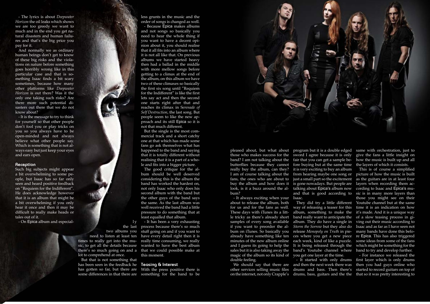Design by Daniel Källmalm

- The lyrics is about *Deepwater Horizon* the oil leaks which shows we are too greedy we want to much and in the end you get natural disasters and human failures and that's the big price you pay for it.

And normally we as ordinary human beings don't get to know of these big risks and the violations on nature before something goes horribly wrong like in this particular case and that is something Isaac finds a bit scary sometimes, because how many other platforms like *Deepwater Horizon* is out there? Was it the only one taking such risks? Are there more such potential disasters out there that we do not know about?

- It is the message to try to think for yourself so that other people don't fool you or play tricks on you so you always have to be open-minded and not always believe what other people say. Which is something that is not always easy but just keep your eyes and ears open.

## **Reception**

Such big subjects might appear a bit overwhelming to some people, but Isaac has so far only seen and heard positive feedback on "Requiem for the Indifferent". He does acknowledge however that it is an album that might be a bit overwhelming if you only hear it once and then it may be difficult to really make heads or tales out of it.

- On Epica album and especial-

With the press positive there is some differences in that there are something for the band to be



has been seen in the feedback he **Teosing & Interest** But that is not something that has gotten so far, but there are

less grunts in the music and the order of songs is changed as well. - Because Epica makes albums and not songs so basically you need to hear the whole thing if you want to have a decent opinion about it, you should realise that it all fits into an album where it is not all like that. On previous albums we have started heavy then had a ballad in the middle with more mellow songs before getting to a climax at the end of the album, on this album we have two of these climaxes so basically the first six song until "Requiem for the Indifferent" is like the first lets say act and then the second one starts right after that and reaches its climax in S*erenade of Self Destruction*, the last song. But people seem to like the new approach and its still Epica so it is not that much different.

But the single is the most commercial track and a short catchy one at that which has made some fans go ask themselves what has happened to the band and saying that it is totally different without realising that it is a part of a whole and fits into a bigger picture.

The good critique for the album should be well deserved considering this is the album the band has worked the hardest on, not only Isaac who only does his second album with the band but the other guys of the band says the same. As the last album was well received the band had a little pressure to do something that at least equalled that album.

- It has been a very exhausting process because there's so much stuff going on and if you want to have every detail right then it is really time consuming, we really wanted to have the best album that we could possible make at this moment.

fans, the ones who are about to just a small part so the excitement as the guitars are in at least four and that is good according to sic is in many more layers than They did try a little different Youtube channel but at the same This is of course a simplified picture of how the music is built layers when recording them according to Isaac and Epica's muthose you might see on their it's made. And it is a unique way Isaac and as far as I have seen not some ideas from some of the fans band to try and develop further.



two albums you need to listen at least ten times to really get into the music, to get all the details because there's so much going on and a lot to comprehend at once.

 $1y$ 

band? I am not talking about the fair that you can get a sample bereally buy the album, can they? I am of course talking about the buy the album and how does it bum?

- It always exciting when your Isaac. about to release the album, both for us and for the fans as well. way of releasing a teaser for this time it is an indication on how These days with iTunes its a little tricky as there's already short band really want to anticipate the of a slow teasing process in gisamples of every song available album. They do have a single in ving out their music according to if you want to preorder the album on iTunes. So basically you release *Monopoly on Truth* in pie-many bands have done this befoalready have something like ten ces where you get a new piece re Epica. This has also triggered minutes of the new album online each week, kind of like a puzzle. and I guess its going to help the It is being released through the which might be something for the sales but it is also taking away the band's Youtube channel where magic of the album so its kind of double feeling.

pleased about, but what about program but it is a double edged same with orchestration, just to those who makes success for the sword I agree because it is only butterflies because they cannot fore buying but at the same time look, is it a buzz around the al- talking about Epica's album now it is very exciting to buy an album from hearing maybe one song or is gone nowadays. But people are

other services selling music files drums and bass. Then there's

album, something to make the *Storm the Sorrow* but they also do you get one layer at the time.

We should say that there are and then the next week there was

on the internet, not only Crapple's drums, bass, guitars and the the that so it was pretty interesting to - It started with only drums first layer which is only drums - For instance we released the then you had guys online who started to record guitars on top of

give the fans a little insight on how the music is built up and all the layers of which it consists.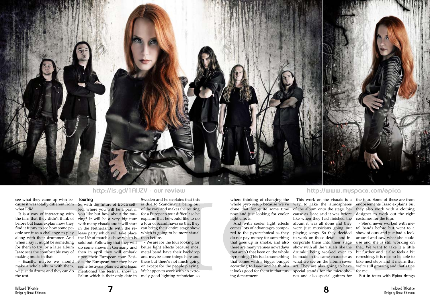

# see what they came up with be-**Touring** cause it was totally different from what I did.

It is a way of interacting with the fans that they didn't think of before but Isaac explain how they find it funny to see how some people see it as a challenge to play along with their drummer. And when I say it might be something for them to try for a later album Isaac sees the comfortable way of making music in that.

- Exactly, maybe we should make a whole album with them, we just do drums and they can do the rest.

So with the future of Epica settled, where you will be a part if you like but how about the touring? It will be a very big tour with many visuals and it will start in the Netherlands with the release party which will take place the  $16<sup>th</sup>$  of march a show which is sold out. Following that they will do some shows in Germany and then in april they will embark upon their European tour. Besides the European tour they have some festivals planned and Isaac mentioned the festival show in Falun which is their only date in

Sweden and he explains that this is due to Scandinavia being out of the way and makes the routing for a European tour difficult so he explains that he would like to do a tour of Scandinavia so that they can bring their entire stage show which is going to be more visual than before.

- We are for the tour looking for better light effects because most metal band have their backdrop and maybe some things here and there but there's not much going on except for the people playing. We happen to work with an extremely good lighting technician so

according to Isaac and he thinks art. They are also going to have we're still growing and that's fine what we see on the album cover take next steps and it means that - She'd never worked with metal bands before but went to a show of ours and just had a look around and saw what she could use and she is still working on that. We want to take it a little bit further and it also feels a bit refreshing, it is nice to be able to for me.

where thinking of changing the whole pyro setup because we've done that for quite some time of the album onto the stage, benow and just looking for cooler light effects.

And with cooler light effects comes lots of advantages compared to the pyrotechnical as they do not pay money for something that goes up in smoke, and also there are many venues nowadays that aren't that keen on the whole pyro thing. This is also something that comes with a bigger budget it looks good for them in that turing department.

way to take the atmospheres cause as Isaac said it was before like when they had finished the album it was all done and they were just musicians going out playing songs. So they decided to work on those details and incorporate them into their stage show with all the visuals like the drumkit being worked over to be made in the same character as special stands for the microphones and also special guitars for

This work on the visuals is a the tour. Some of these are from endorsements Isaac explains but they also work with a clothing designer to work out the right costumes for the tour.

But in tours with Epica things

**7 8**

# **http://is.gd/1AlJZV - our review http://www.myspace.com/epica**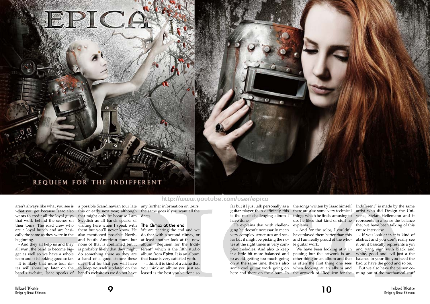what you get because Isaac also wants to credit all the loyal guys that work behind the scenes on their tours. The road crew who are a loyal bunch and are basically the same as they were in the beginning.

- And they all help us and they all want the band to become bigger as well so we have a whole team and it is looking good so far. It is likely that more tour da-

aren't always like what you see is a possible Scandinavian tour late any further information on tours, this or early next year, although the same goes if you want all the dates.

tes will show up later on the to keep yourself updated on the band's website, Isaac speaks of band's website as we do not have leased is the best you've done so that might only be because I am Swedish as all bands speaks of visiting here when I speak with them but you'll never know. He also mentioned possible Northand South American tours but none of that is confirmed but it album "Requiem for the Indifis probably likely that they might do something there as they are a band of a good stature these days. But for that you will have

### **The Climax at the end**

here and there on the album. In the artwork of "Requiem for the ming out of the mechanical stuff We have been looking at it in passing but the artwork is another thing on an album and that is often the first thing one sees when looking at an album and

We are nearing the end and we do that with a second climax, or at least another look at the new ferent" which is the fifth studio album from Epica. It is an album that Isaac is very satisfied with.

- I think it is kind of a cliché that you think an album you just re-

guitar player then definitely this is the most challenging album I have done.

He explains that with challenging he doesn't necessarily mean very complex structures and scales but it might be picking the notes at the right times in very complex melodies. And also to keep it a little bit more balanced and to avoid getting too much going on at the same time, there's also some cool guitar work going on

far but if I just talk personally as a the songs written by Isaac himself Indifferent" is made by the same do, he likes that kind of stuff he represents in a sense the balance artist who did Design the Universe, Stefan Heilemann and it that we have been talking of this entire interview.

there are also some very technical things which he finds amusing to explains.

- And for the solos, I couldn't have played them better than this and I am really proud of the whole guitar work.

- If you look at it, it is kind of abstract and you don't really see it but it basically represents a yin and yang sign with black and white, good and evil just a the balance in your life you need the bad to have the good and so on.

But we also have the person co-





**http://www.youtube.com/user/epica**